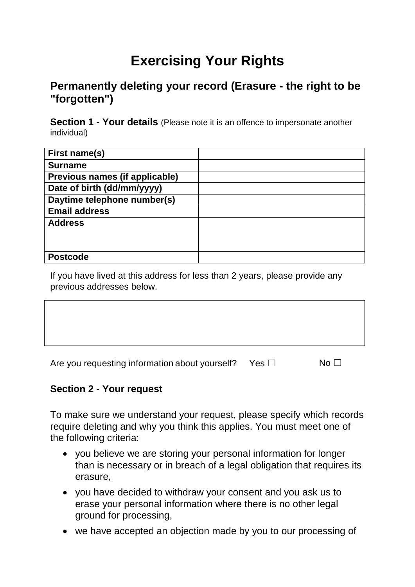# **Exercising Your Rights**

# **Permanently deleting your record (Erasure - the right to be "forgotten")**

**Section 1 - Your details** (Please note it is an offence to impersonate another individual)

| First name(s)                  |  |
|--------------------------------|--|
| <b>Surname</b>                 |  |
| Previous names (if applicable) |  |
| Date of birth (dd/mm/yyyy)     |  |
| Daytime telephone number(s)    |  |
| <b>Email address</b>           |  |
| <b>Address</b>                 |  |
|                                |  |
|                                |  |
| <b>Postcode</b>                |  |

If you have lived at this address for less than 2 years, please provide any previous addresses below.

| Are you requesting information about yourself? | Yes ⊡ | No. |
|------------------------------------------------|-------|-----|

 $\overline{\phantom{0}}$ 

## **Section 2 - Your request**

 $\mathsf{r}$ 

To make sure we understand your request, please specify which records require deleting and why you think this applies. You must meet one of the following criteria:

- you believe we are storing your personal information for longer than is necessary or in breach of a legal obligation that requires its erasure,
- you have decided to withdraw your consent and you ask us to erase your personal information where there is no other legal ground for processing,
- we have accepted an objection made by you to our processing of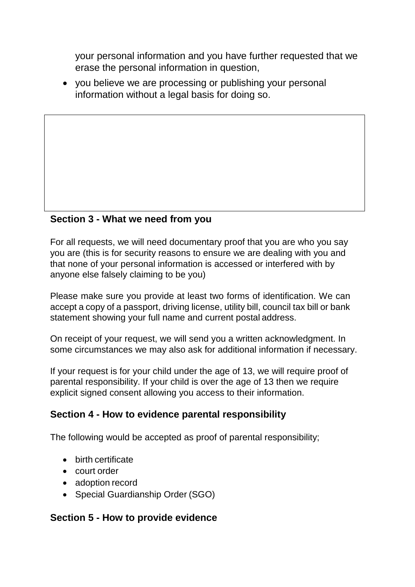your personal information and you have further requested that we erase the personal information in question,

 you believe we are processing or publishing your personal information without a legal basis for doing so.

## **Section 3 - What we need from you**

For all requests, we will need documentary proof that you are who you say you are (this is for security reasons to ensure we are dealing with you and that none of your personal information is accessed or interfered with by anyone else falsely claiming to be you)

Please make sure you provide at least two forms of identification. We can accept a copy of a passport, driving license, utility bill, council tax bill or bank statement showing your full name and current postal address.

On receipt of your request, we will send you a written acknowledgment. In some circumstances we may also ask for additional information if necessary.

If your request is for your child under the age of 13, we will require proof of parental responsibility. If your child is over the age of 13 then we require explicit signed consent allowing you access to their information.

#### **Section 4 - How to evidence parental responsibility**

The following would be accepted as proof of parental responsibility;

- birth certificate
- court order
- adoption record
- Special Guardianship Order (SGO)

#### **Section 5 - How to provide evidence**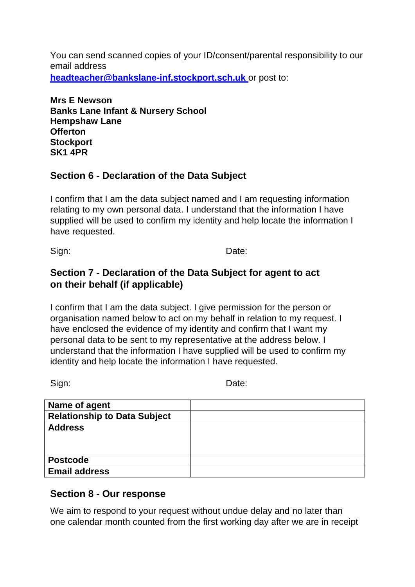You can send scanned copies of your ID/consent/parental responsibility to our email address **[headteacher@bankslane-inf.stockport.sch.uk](mailto:headteacher@bankslane-inf.stockport.sch.uk)** or post to:

**Mrs E Newson Banks Lane Infant & Nursery School Hempshaw Lane Offerton Stockport SK1 4PR**

# **Section 6 - Declaration of the Data Subject**

I confirm that I am the data subject named and I am requesting information relating to my own personal data. I understand that the information I have supplied will be used to confirm my identity and help locate the information I have requested.

Sign: **Date:** Date:

# **Section 7 - Declaration of the Data Subject for agent to act on their behalf (if applicable)**

I confirm that I am the data subject. I give permission for the person or organisation named below to act on my behalf in relation to my request. I have enclosed the evidence of my identity and confirm that I want my personal data to be sent to my representative at the address below. I understand that the information I have supplied will be used to confirm my identity and help locate the information I have requested.

Sign: **Date:** Date:

| Name of agent                       |  |
|-------------------------------------|--|
| <b>Relationship to Data Subject</b> |  |
| <b>Address</b>                      |  |
|                                     |  |
|                                     |  |
| <b>Postcode</b>                     |  |
| <b>Email address</b>                |  |

## **Section 8 - Our response**

We aim to respond to your request without undue delay and no later than one calendar month counted from the first working day after we are in receipt